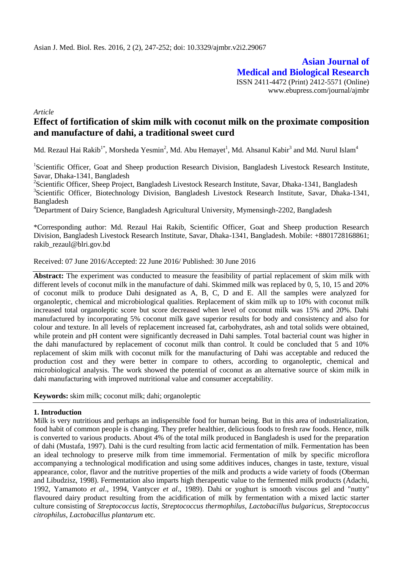**Asian Journal of Medical and Biological Research** ISSN 2411-4472 (Print) 2412-5571 (Online) www.ebupress.com/journal/ajmbr

*Article*

# **Effect of fortification of skim milk with coconut milk on the proximate composition and manufacture of dahi, a traditional sweet curd**

Md. Rezaul Hai Rakib $^{1*}$ , Morsheda Yesmin $^{2}$ , Md. Abu Hemayet $^{1}$ , Md. Ahsanul Kabir $^{3}$  and Md. Nurul Islam $^{4}$ 

<sup>1</sup>Scientific Officer, Goat and Sheep production Research Division, Bangladesh Livestock Research Institute, Savar, Dhaka-1341, Bangladesh

<sup>2</sup>Scientific Officer, Sheep Project, Bangladesh Livestock Research Institute, Savar, Dhaka-1341, Bangladesh <sup>3</sup>Scientific Officer, Biotechnology Division, Bangladesh Livestock Research Institute, Savar, Dhaka-1341, Bangladesh

<sup>4</sup>Department of Dairy Science, Bangladesh Agricultural University, Mymensingh-2202, Bangladesh

\*Corresponding author: Md. Rezaul Hai Rakib, Scientific Officer, Goat and Sheep production Research Division, Bangladesh Livestock Research Institute, Savar, Dhaka-1341, Bangladesh. Mobile: +8801728168861; [rakib\\_rezaul@blri.gov.bd](mailto:rakib_rezaul@blri.gov.bd)

Received: 07 June 2016/Accepted: 22 June 2016/ Published: 30 June 2016

**Abstract:** The experiment was conducted to measure the feasibility of partial replacement of skim milk with different levels of coconut milk in the manufacture of dahi. Skimmed milk was replaced by 0, 5, 10, 15 and 20% of coconut milk to produce Dahi designated as A, B, C, D and E. All the samples were analyzed for organoleptic, chemical and microbiological qualities. Replacement of skim milk up to 10% with coconut milk increased total organoleptic score but score decreased when level of coconut milk was 15% and 20%. Dahi manufactured by incorporating 5% coconut milk gave superior results for body and consistency and also for colour and texture. In all levels of replacement increased fat, carbohydrates, ash and total solids were obtained, while protein and pH content were significantly decreased in Dahi samples. Total bacterial count was higher in the dahi manufactured by replacement of coconut milk than control. It could be concluded that 5 and 10% replacement of skim milk with coconut milk for the manufacturing of Dahi was acceptable and reduced the production cost and they were better in compare to others, according to organoleptic, chemical and microbiological analysis. The work showed the potential of coconut as an alternative source of skim milk in dahi manufacturing with improved nutritional value and consumer acceptability.

**Keywords:** skim milk; coconut milk; dahi; organoleptic

## **1. Introduction**

Milk is very nutritious and perhaps an indispensible food for human being. But in this area of industrialization, food habit of common people is changing. They prefer healthier, delicious foods to fresh raw foods. Hence, milk is converted to various products. About 4% of the total milk produced in Bangladesh is used for the preparation of dahi (Mustafa, 1997). Dahi is the curd resulting from lactic acid fermentation of milk. Fermentation has been an ideal technology to preserve milk from time immemorial. Fermentation of milk by specific microflora accompanying a technological modification and using some additives induces, changes in taste, texture, visual appearance, color, flavor and the nutritive properties of the milk and products a wide variety of foods (Oberman and Libudzisz, 1998). Fermentation also imparts high therapeutic value to the fermented milk products (Adachi, 1992, Yamamoto *et al*., 1994, Vantycer *et al*., 1989). Dahi or yoghurt is smooth viscous gel and "nutty" flavoured dairy product resulting from the acidification of milk by fermentation with a mixed lactic starter culture consisting of *Streptococcus lactis*, *Streptococcus thermophilus*, *Lactobacillus bulgaricus*, *Streptococcus citrophilus, Lactobacillus plantarum* etc*.*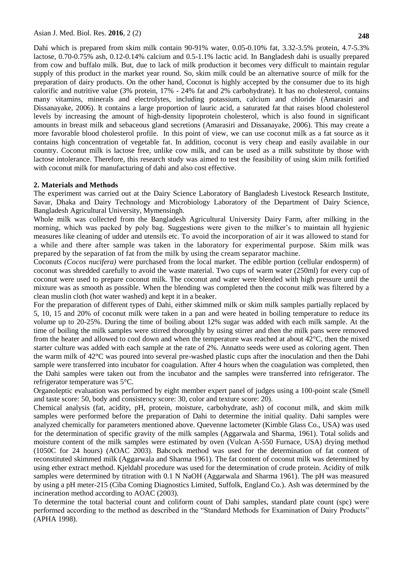Dahi which is prepared from skim milk contain 90-91% water, 0.05-0.10% fat, 3.32-3.5% protein, 4.7-5.3% lactose, 0.70-0.75% ash, 0.12-0.14% calcium and 0.5-1.1% lactic acid. In Bangladesh dahi is usually prepared from cow and buffalo milk. But, due to lack of milk production it becomes very difficult to maintain regular supply of this product in the market year round. So, skim milk could be an alternative source of milk for the preparation of dairy products. On the other hand, Coconut is highly accepted by the consumer due to its high calorific and nutritive value (3% protein, 17% - 24% fat and 2% carbohydrate). It has no cholesterol, contains many vitamins, minerals and electrolytes, including potassium, calcium and chloride (Amarasiri and Dissanayake, 2006). It contains a large proportion of lauric acid, a saturated fat that raises blood cholesterol levels by increasing the amount of high-density lipoprotein cholesterol, which is also found in significant amounts in breast milk and sebaceous gland secretions (Amarasiri and Dissanayake, 2006). This may create a more favorable blood cholesterol profile. In this point of view, we can use coconut milk as a fat source as it contains high concentration of vegetable fat. In addition, coconut is very cheap and easily available in our country. Coconut milk is lactose free, unlike cow milk, and can be used as a milk substitute by those with lactose intolerance. Therefore, this research study was aimed to test the feasibility of using skim milk fortified with coconut milk for manufacturing of dahi and also cost effective.

### **2. Materials and Methods**

The experiment was carried out at the Dairy Science Laboratory of Bangladesh Livestock Research Institute, Savar, Dhaka and Dairy Technology and Microbiology Laboratory of the Department of Dairy Science, Bangladesh Agricultural University, Mymensingh.

Whole milk was collected from the Bangladesh Agricultural University Dairy Farm, after milking in the morning, which was packed by poly bag. Suggestions were given to the milker"s to maintain all hygienic measures like cleaning of udder and utensils etc. To avoid the incorporation of air it was allowed to stand for a while and there after sample was taken in the laboratory for experimental purpose. Skim milk was prepared by the separation of fat from the milk by using the cream separator machine.

Coconuts *(Cocos nucifera)* were purchased from the local market. The edible portion (cellular endosperm) of coconut was shredded carefully to avoid the waste material. Two cups of warm water (250ml) for every cup of coconut were used to prepare coconut milk. The coconut and water were blended with high pressure until the mixture was as smooth as possible. When the blending was completed then the coconut milk was filtered by a clean muslin cloth (hot water washed) and kept it in a beaker.

For the preparation of different types of Dahi, either skimmed milk or skim milk samples partially replaced by 5, 10, 15 and 20% of coconut milk were taken in a pan and were heated in boiling temperature to reduce its volume up to 20-25%. During the time of boiling about 12% sugar was added with each milk sample. At the time of boiling the milk samples were stirred thoroughly by using stirrer and then the milk pans were removed from the heater and allowed to cool down and when the temperature was reached at about 42°C, then the mixed starter culture was added with each sample at the rate of 2%. Annatto seeds were used as coloring agent. Then the warm milk of 42°C was poured into several pre-washed plastic cups after the inoculation and then the Dahi sample were transferred into incubator for coagulation. After 4 hours when the coagulation was completed, then the Dahi samples were taken out from the incubator and the samples were transferred into refrigerator. The refrigerator temperature was 5°C.

Organoleptic evaluation was performed by eight member expert panel of judges using a 100-point scale (Smell and taste score: 50, body and consistency score: 30, color and texture score: 20).

Chemical analysis (fat, acidity, pH, protein, moisture, carbohydrate, ash) of coconut milk, and skim milk samples were performed before the preparation of Dahi to determine the initial quality. Dahi samples were analyzed chemically for parameters mentioned above. Quevenne lactometer (Kimble Glass Co., USA) was used for the determination of specific gravity of the milk samples (Aggarwala and Sharma, 1961). Total solids and moisture content of the milk samples were estimated by oven (Vulcan A-550 Furnace, USA) drying method (1050C for 24 hours) (AOAC 2003). Babcock method was used for the determination of fat content of reconstituted skimmed milk (Aggarwala and Sharma 1961). The fat content of coconut milk was determined by using ether extract method. Kjeldahl procedure was used for the determination of crude protein. Acidity of milk samples were determined by titration with 0.1 N NaOH (Aggarwala and Sharma 1961). The pH was measured by using a pH meter-215 (Ciba Coming Diagnostics Limited, Suffolk, England Co.). Ash was determined by the incineration method according to AOAC (2003).

To determine the total bacterial count and coliform count of Dahi samples, standard plate count (spc) were performed according to the method as described in the "Standard Methods for Examination of Dairy Products" (APHA 1998).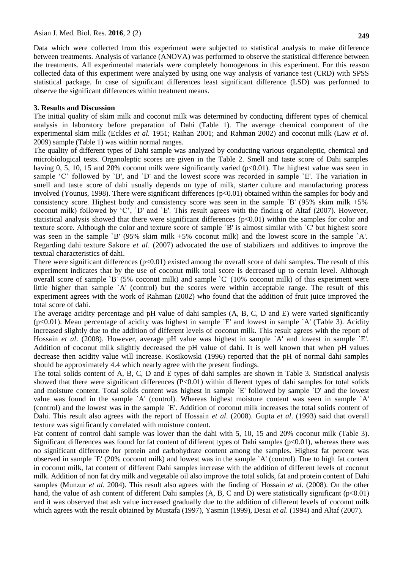Data which were collected from this experiment were subjected to statistical analysis to make difference between treatments. Analysis of variance (ANOVA) was performed to observe the statistical difference between the treatments. All experimental materials were completely homogenous in this experiment. For this reason collected data of this experiment were analyzed by using one way analysis of variance test (CRD) with SPSS statistical package. In case of significant differences least significant difference (LSD) was performed to observe the significant differences within treatment means.

#### **3. Results and Discussion**

The initial quality of skim milk and coconut milk was determined by conducting different types of chemical analysis in laboratory before preparation of Dahi (Table 1). The average chemical component of the experimental skim milk (Eckles *et al.* 1951; Raihan 2001; and Rahman 2002) and coconut milk (Law *et al*. 2009) sample (Table 1) was within normal ranges.

The quality of different types of Dahi sample was analyzed by conducting various organoleptic, chemical and microbiological tests. Organoleptic scores are given in the Table 2. Smell and taste score of Dahi samples having 0, 5, 10, 15 and 20% coconut milk were significantly varied  $(p<0.01)$ . The highest value was seen in sample 'C' followed by 'B', and 'D' and the lowest score was recorded in sample 'E'. The variation in smell and taste score of dahi usually depends on type of milk, starter culture and manufacturing process involved (Younus, 1998). There were significant differences  $(p<0.01)$  obtained within the samples for body and consistency score. Highest body and consistency score was seen in the sample `B' (95% skim milk +5% coconut milk) followed by "C", `D' and `E'. This result agrees with the finding of Altaf (2007). However, statistical analysis showed that there were significant differences  $(p<0.01)$  within the samples for color and texture score. Although the color and texture score of sample `B' is almost similar with `C' but highest score was seen in the sample `B' (95% skim milk +5% coconut milk) and the lowest score in the sample `A'. Regarding dahi texture Sakore *et al*. (2007) advocated the use of stabilizers and additives to improve the textual characteristics of dahi.

There were significant differences  $(p<0.01)$  existed among the overall score of dahi samples. The result of this experiment indicates that by the use of coconut milk total score is decreased up to certain level. Although overall score of sample `B' (5% coconut milk) and sample `C' (10% coconut milk) of this experiment were little higher than sample `A' (control) but the scores were within acceptable range. The result of this experiment agrees with the work of Rahman (2002) who found that the addition of fruit juice improved the total score of dahi.

The average acidity percentage and pH value of dahi samples (A, B, C, D and E) were varied significantly (p<0.01). Mean percentage of acidity was highest in sample `E' and lowest in sample `A' (Table 3). Acidity increased slightly due to the addition of different levels of coconut milk. This result agrees with the report of Hossain *et al.* (2008). However, average pH value was highest in sample `A' and lowest in sample `E'. Addition of coconut milk slightly decreased the pH value of dahi. It is well known that when pH values decrease then acidity value will increase. Kosikowski (1996) reported that the pH of normal dahi samples should be approximately 4.4 which nearly agree with the present findings.

The total solids content of A, B, C, D and E types of dahi samples are shown in Table 3. Statistical analysis showed that there were significant differences  $(P<0.01)$  within different types of dahi samples for total solids and moisture content. Total solids content was highest in sample `E' followed by sample `D' and the lowest value was found in the sample `A' (control). Whereas highest moisture content was seen in sample `A' (control) and the lowest was in the sample `E'. Addition of coconut milk increases the total solids content of Dahi. This result also agrees with the report of Hossain *et al*. (2008). Gupta *et al*. (1993) said that overall texture was significantly correlated with moisture content.

Fat content of control dahi sample was lower than the dahi with 5, 10, 15 and 20% coconut milk (Table 3). Significant differences was found for fat content of different types of Dahi samples  $(p<0.01)$ , whereas there was no significant difference for protein and carbohydrate content among the samples. Highest fat percent was observed in sample `E' (20% coconut milk) and lowest was in the sample `A' (control). Due to high fat content in coconut milk, fat content of different Dahi samples increase with the addition of different levels of coconut milk. Addition of non fat dry milk and vegetable oil also improve the total solids, fat and protein content of Dahi samples (Munzur *et al*. 2004). This result also agrees with the finding of Hossain *et al*. (2008). On the other hand, the value of ash content of different Dahi samples  $(A, B, C \text{ and } D)$  were statistically significant (p<0.01) and it was observed that ash value increased gradually due to the addition of different levels of coconut milk which agrees with the result obtained by Mustafa (1997), Yasmin (1999), Desai *et al*. (1994) and Altaf (2007).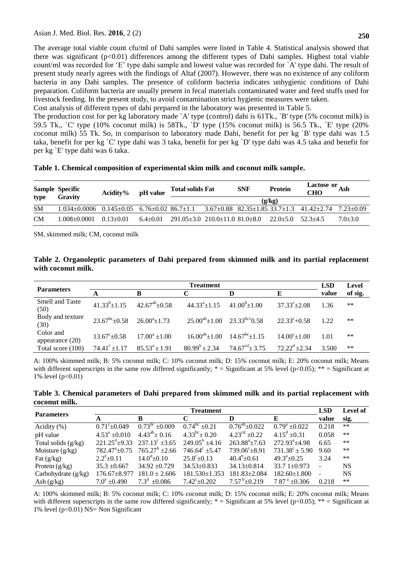The average total viable count cfu/ml of Dahi samples were listed in Table 4. Statistical analysis showed that there was significant  $(p<0.01)$  differences among the different types of Dahi samples. Highest total viable count/ml was recorded for "E" type dahi sample and lowest value was recorded for `A' type dahi. The result of present study nearly agrees with the findings of Altaf (2007). However, there was no existence of any coliform bacteria in any Dahi samples. The presence of coliform bacteria indicates unhygienic conditions of Dahi preparation. Coliform bacteria are usually present in fecal materials contaminated water and feed stuffs used for livestock feeding. In the present study, to avoid contamination strict hygienic measures were taken.

Cost analysis of different types of dahi prepared in the laboratory was presented in Table 5.

The production cost for per kg laboratory made `A' type (control) dahi is 61Tk., `B' type (5% coconut milk) is 59.5 Tk., `C' type (10% coconut milk) is 58Tk., `D' type (15% coconut milk) is 56.5 Tk., `E' type (20% coconut milk) 55 Tk. So, in comparison to laboratory made Dahi, benefit for per kg `B' type dahi was 1.5 taka, benefit for per kg `C' type dahi was 3 taka, benefit for per kg `D' type dahi was 4.5 taka and benefit for per kg `E' type dahi was 6 taka.

| type      | <b>Sample Specific</b><br>Gravity                                                                                                                   | $Acidity\%$   | <b>Total solids Fat</b><br>pH value |                                                  | <b>SNF</b> | <b>Protein</b>        | Lactose or $\overline{Ash}$<br><b>CHO</b> |             |
|-----------|-----------------------------------------------------------------------------------------------------------------------------------------------------|---------------|-------------------------------------|--------------------------------------------------|------------|-----------------------|-------------------------------------------|-------------|
|           |                                                                                                                                                     |               |                                     |                                                  |            | (g/kg)                |                                           |             |
| <b>SM</b> | $1.034 \pm 0.0006$ $0.145 \pm 0.05$ $6.76 \pm 0.02$ $86.7 \pm 1.1$ $3.67 \pm 0.88$ $82.35 \pm 1.85$ $33.7 \pm 1.3$ $41.42 \pm 2.74$ $7.23 \pm 0.09$ |               |                                     |                                                  |            |                       |                                           |             |
| <b>CM</b> | 1.008+0.0001                                                                                                                                        | $0.13 + 0.01$ | $6.4 + 0.01$                        | $291.05 \pm 3.0$ 210.0 $\pm 11.0$ 81.0 $\pm 8.0$ |            | $22.0+5.0$ $52.3+4.5$ |                                           | $7.0 + 3.0$ |

SM, skimmed milk; CM, coconut milk

| Table 2. Organoleptic parameters of Dahi prepared from skimmed milk and its partial replacement |  |  |  |  |  |  |
|-------------------------------------------------------------------------------------------------|--|--|--|--|--|--|
| with coconut milk.                                                                              |  |  |  |  |  |  |

| <b>Parameters</b>              |                                                      | LSD                 | Level                                       |                                             |                            |       |         |
|--------------------------------|------------------------------------------------------|---------------------|---------------------------------------------|---------------------------------------------|----------------------------|-------|---------|
|                                |                                                      | в                   |                                             | D                                           | Е                          | value | of sig. |
| <b>Smell and Taste</b><br>(50) | $41.33^{b} \pm 1.15$                                 | $42.67^{ab} + 0.58$ | $44.33^{a}+1.15$                            | $41.00^{b} \pm 1.00$                        | $37.33^{\circ}+2.08$       | 1.36  | **      |
| Body and texture<br>(30)       | $23.67^{\text{bc}}\pm0.58$ $26.00^{\text{a}}\pm1.73$ |                     | $25.00^{ab} \pm 1.00$ $23.33^{bc} \pm 0.58$ |                                             | $22.33^{\circ}+0.58$       | 1.22  | **      |
| Color and<br>appearance $(20)$ | $13.67^{\circ}$ + 0.58                               | $17.00^a + 1.00$    |                                             | $16.00^{ab} \pm 1.00$ $14.67^{bc} \pm 1.15$ | $14.00^{\circ}$ $\pm 1.00$ | 1.01  | **      |
| Total score (100)              | $74.41^{\circ}$ ± 1.17                               | $85.53^a \pm 1.91$  | $80.99^b \pm 2.34$                          | $74.67^{\text{cd}} \pm 3.75$                | $72.22^d + 2.34$           | 3.500 | **      |

A: 100% skimmed milk; B: 5% coconut milk; C: 10% coconut milk; D: 15% coconut milk; E: 20% coconut milk; Means with different superscripts in the same row differed significantly;  $*$  = Significant at 5% level (p<0.05);  $**$  = Significant at 1% level (p<0.01)

**Table 3. Chemical parameters of Dahi prepared from skimmed milk and its partial replacement with coconut milk.**

| <b>Parameters</b>     |                          | <b>LSD</b>                                                | Level of               |                           |                           |       |           |
|-----------------------|--------------------------|-----------------------------------------------------------|------------------------|---------------------------|---------------------------|-------|-----------|
|                       | A                        | B                                                         |                        | D                         | E                         | value | sig.      |
| Acidity $(\%)$        | $0.71^{\circ}$ + 0.049   | $0.73^{bc}$ ±0.009                                        | $0.74^{bc}$ ±0.21      | $0.76^{\rm ab}$ ± $0.022$ | $0.79^a \pm 0.022$        | 0.218 | $***$     |
| pH value              | $4.53^{\circ} \pm 0.010$ | $4.43^{ab} \pm 0.16$                                      | $4.33^{bc}$ ± 0.20     | $4.23^{\text{cd}}$ ±0.22  | $4.15^d \pm 0.31$         | 0.058 | $***$     |
| Total solids $(g/kg)$ |                          | $221.25^{\text{d}} \pm 9.33$ $237.13^{\text{c}} \pm 3.65$ | $249.05^b \pm 4.16$    | $263.88^a \pm 7.63$       | $272.93^{\circ}$ ±4.98    | 6.65  | $***$     |
| Moisture $(g/kg)$     | $782.47^{\circ}+0.75$    | $765.27^b$ ±2.66                                          | $746.64^{\circ}$ ±5.47 | $739.06^{\circ} \pm 8.91$ | $731.38^{\circ} \pm 5.90$ | 9.60  | $***$     |
| Fat $(g/kg)$          | $2.2^e \pm 0.11$         | $14.0^{\circ}$ ±0.10                                      | $25.8^{\circ}$ ±0.13   | $40.4^b \pm 0.61$         | $49.3^a \pm 0.25$         | 3.24  | $***$     |
| Protein $(g/kg)$      | $35.3 \pm 0.667$         | $34.92 \pm 0.729$                                         | $34.53 \pm 0.833$      | $34.13 \pm 0.814$         | $33.71 \pm 0.973$         |       | <b>NS</b> |
| Carbohydrate $(g/kg)$ | $176.67 \pm 8.977$       | $181.0 \pm 2.606$                                         | 181.530±1.353          | 181.83±2.084              | $182.60 \pm 1.800$        |       | <b>NS</b> |
| Ash $(g/kg)$          | $7.0^{\circ}$ +0.490     | $7.3^{\rm d}$ ±0.086                                      | $7.42^{\circ}$ ±0.202  | $7.57^{b} \pm 0.219$      | $7.87^{\text{ a}}$ ±0.306 | 0.218 | $***$     |

A: 100% skimmed milk; B: 5% coconut milk; C: 10% coconut milk; D: 15% coconut milk; E: 20% coconut milk; Means with different superscripts in the same row differed significantly;  $* =$  Significant at 5% level (p<0.05);  $** =$  Significant at 1% level (p<0.01) NS= Non Significant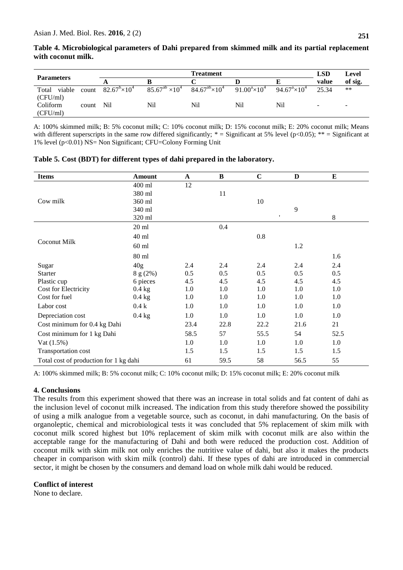|                   |       |                               | <b>LSD</b>                 | Level                    |                       |                               |       |         |
|-------------------|-------|-------------------------------|----------------------------|--------------------------|-----------------------|-------------------------------|-------|---------|
| <b>Parameters</b> |       |                               |                            |                          |                       |                               | value | of sig. |
| Total<br>viable   | count | $82.67^{\circ} \times 10^{4}$ | $85.67^{ab} \times 10^{4}$ | $84.67^{ab} \times 10^4$ | $91.00^a \times 10^4$ | $94.67^{\circ} \times 10^{4}$ | 25.34 | $***$   |
| (CFU/ml)          |       |                               |                            |                          |                       |                               |       |         |
| Coliform          | count | N <sub>i</sub>                | Nil                        | Nil                      | Nil                   | Nil                           | -     | -       |
| (CFU/ml)          |       |                               |                            |                          |                       |                               |       |         |

**Table 4. Microbiological parameters of Dahi prepared from skimmed milk and its partial replacement with coconut milk.**

A: 100% skimmed milk; B: 5% coconut milk; C: 10% coconut milk; D: 15% coconut milk; E: 20% coconut milk; Means with different superscripts in the same row differed significantly;  $* =$  Significant at 5% level (p<0.05);  $** =$  Significant at 1% level (p<0.01) NS= Non Significant; CFU=Colony Forming Unit

| <b>Items</b>                           | <b>Amount</b>   | $\mathbf A$ | $\, {\bf B}$ | $\mathbf C$  | D    | Е       |
|----------------------------------------|-----------------|-------------|--------------|--------------|------|---------|
|                                        | 400 ml          | 12          |              |              |      |         |
|                                        | 380 ml          |             | 11           |              |      |         |
| Cow milk                               | 360 ml          |             |              | 10           |      |         |
|                                        | 340 ml          |             |              |              | 9    |         |
|                                        | 320 ml          |             |              | $\mathbf{I}$ |      | $\,8\,$ |
|                                        | $20 \text{ ml}$ |             | 0.4          |              |      |         |
|                                        | 40 ml           |             |              | 0.8          |      |         |
| Coconut Milk                           | $60$ ml         |             |              |              | 1.2  |         |
|                                        | 80 ml           |             |              |              |      | 1.6     |
| Sugar                                  | 40 <sub>g</sub> | 2.4         | 2.4          | 2.4          | 2.4  | 2.4     |
| <b>Starter</b>                         | 8 g (2%)        | 0.5         | 0.5          | 0.5          | 0.5  | 0.5     |
| Plastic cup                            | 6 pieces        | 4.5         | 4.5          | 4.5          | 4.5  | 4.5     |
| Cost for Electricity                   | $0.4$ kg        | 1.0         | 1.0          | 1.0          | 1.0  | 1.0     |
| Cost for fuel                          | $0.4$ kg        | 1.0         | 1.0          | 1.0          | 1.0  | 1.0     |
| Labor cost                             | 0.4k            | 1.0         | 1.0          | 1.0          | 1.0  | 1.0     |
| Depreciation cost                      | $0.4$ kg        | 1.0         | 1.0          | 1.0          | 1.0  | 1.0     |
| Cost minimum for 0.4 kg Dahi           |                 | 23.4        | 22.8         | 22.2         | 21.6 | 21      |
| Cost minimum for 1 kg Dahi             |                 | 58.5        | 57           | 55.5         | 54   | 52.5    |
| Vat (1.5%)                             |                 | 1.0         | 1.0          | 1.0          | 1.0  | 1.0     |
| Transportation cost                    |                 | 1.5         | 1.5          | 1.5          | 1.5  | 1.5     |
| Total cost of production for 1 kg dahi |                 | 61          | 59.5         | 58           | 56.5 | 55      |

**Table 5. Cost (BDT) for different types of dahi prepared in the laboratory.**

A: 100% skimmed milk; B: 5% coconut milk; C: 10% coconut milk; D: 15% coconut milk; E: 20% coconut milk

## **4. Conclusions**

The results from this experiment showed that there was an increase in total solids and fat content of dahi as the inclusion level of coconut milk increased. The indication from this study therefore showed the possibility of using a milk analogue from a vegetable source, such as coconut, in dahi manufacturing. On the basis of organoleptic, chemical and microbiological tests it was concluded that 5% replacement of skim milk with coconut milk scored highest but 10% replacement of skim milk with coconut milk are also within the acceptable range for the manufacturing of Dahi and both were reduced the production cost. Addition of coconut milk with skim milk not only enriches the nutritive value of dahi, but also it makes the products cheaper in comparison with skim milk (control) dahi. If these types of dahi are introduced in commercial sector, it might be chosen by the consumers and demand load on whole milk dahi would be reduced.

#### **Conflict of interest**

None to declare.